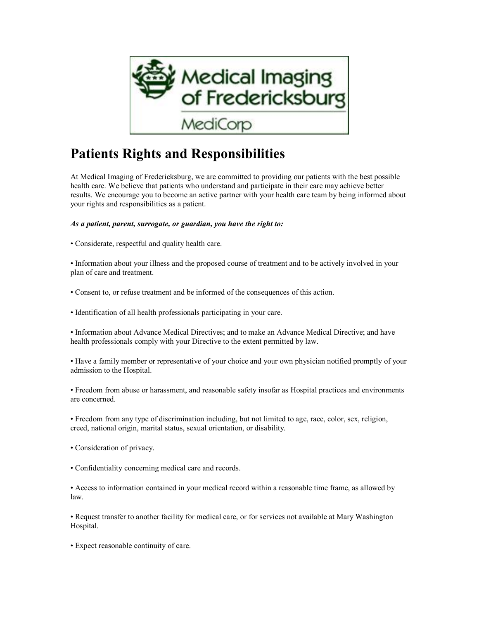

## **Patients Rights and Responsibilities**

At Medical Imaging of Fredericksburg, we are committed to providing our patients with the best possible health care. We believe that patients who understand and participate in their care may achieve better results. We encourage you to become an active partner with your health care team by being informed about your rights and responsibilities as a patient.

*As a patient, parent, surrogate, or guardian, you have the right to:*

• Considerate, respectful and quality health care.

• Information about your illness and the proposed course of treatment and to be actively involved in your plan of care and treatment.

• Consent to, or refuse treatment and be informed of the consequences of this action.

• Identification of all health professionals participating in your care.

• Information about Advance Medical Directives; and to make an Advance Medical Directive; and have health professionals comply with your Directive to the extent permitted by law.

• Have a family member or representative of your choice and your own physician notified promptly of your admission to the Hospital.

• Freedom from abuse or harassment, and reasonable safety insofar as Hospital practices and environments are concerned.

• Freedom from any type of discrimination including, but not limited to age, race, color, sex, religion, creed, national origin, marital status, sexual orientation, or disability.

• Consideration of privacy.

• Confidentiality concerning medical care and records.

• Access to information contained in your medical record within a reasonable time frame, as allowed by law.

• Request transfer to another facility for medical care, or for services not available at Mary Washington Hospital.

• Expect reasonable continuity of care.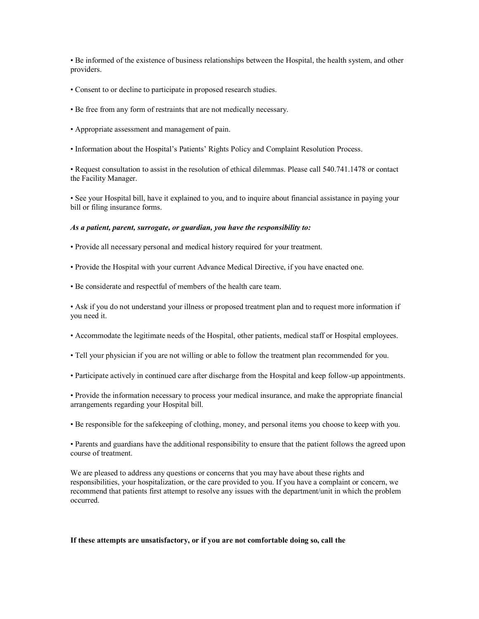• Be informed of the existence of business relationships between the Hospital, the health system, and other providers.

- Consent to or decline to participate in proposed research studies.
- Be free from any form of restraints that are not medically necessary.
- Appropriate assessment and management of pain.
- Information about the Hospital's Patients' Rights Policy and Complaint Resolution Process.

• Request consultation to assist in the resolution of ethical dilemmas. Please call 540.741.1478 or contact the Facility Manager.

• See your Hospital bill, have it explained to you, and to inquire about financial assistance in paying your bill or filing insurance forms.

## *As a patient, parent, surrogate, or guardian, you have the responsibility to:*

- Provide all necessary personal and medical history required for your treatment.
- Provide the Hospital with your current Advance Medical Directive, if you have enacted one.
- Be considerate and respectful of members of the health care team.

• Ask if you do not understand your illness or proposed treatment plan and to request more information if you need it.

- Accommodate the legitimate needs of the Hospital, other patients, medical staff or Hospital employees.
- Tell your physician if you are not willing or able to follow the treatment plan recommended for you.
- Participate actively in continued care after discharge from the Hospital and keep follow-up appointments.

• Provide the information necessary to process your medical insurance, and make the appropriate financial arrangements regarding your Hospital bill.

• Be responsible for the safekeeping of clothing, money, and personal items you choose to keep with you.

• Parents and guardians have the additional responsibility to ensure that the patient follows the agreed upon course of treatment.

We are pleased to address any questions or concerns that you may have about these rights and responsibilities, your hospitalization, or the care provided to you. If you have a complaint or concern, we recommend that patients first attempt to resolve any issues with the department/unit in which the problem occurred.

## **If these attempts are unsatisfactory, or if you are not comfortable doing so, call the**